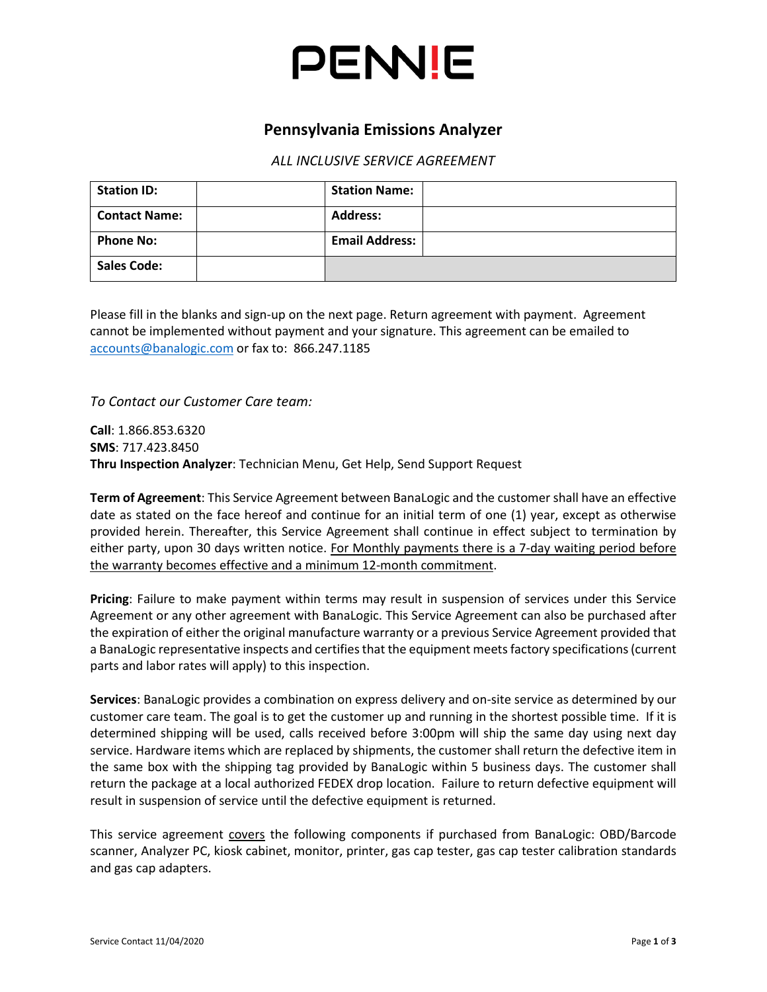

### **Pennsylvania Emissions Analyzer**

#### *ALL INCLUSIVE SERVICE AGREEMENT*

| <b>Station ID:</b>   | <b>Station Name:</b>  |  |
|----------------------|-----------------------|--|
| <b>Contact Name:</b> | <b>Address:</b>       |  |
| <b>Phone No:</b>     | <b>Email Address:</b> |  |
| <b>Sales Code:</b>   |                       |  |

Please fill in the blanks and sign-up on the next page. Return agreement with payment. Agreement cannot be implemented without payment and your signature. This agreement can be emailed to [accounts@banalogic.com](mailto:accounts@banalogic.com) or fax to: 866.247.1185

*To Contact our Customer Care team:*

**Call**: 1.866.853.6320 **SMS**: 717.423.8450 **Thru Inspection Analyzer**: Technician Menu, Get Help, Send Support Request

**Term of Agreement**: This Service Agreement between BanaLogic and the customer shall have an effective date as stated on the face hereof and continue for an initial term of one (1) year, except as otherwise provided herein. Thereafter, this Service Agreement shall continue in effect subject to termination by either party, upon 30 days written notice. For Monthly payments there is a 7-day waiting period before the warranty becomes effective and a minimum 12-month commitment.

**Pricing**: Failure to make payment within terms may result in suspension of services under this Service Agreement or any other agreement with BanaLogic. This Service Agreement can also be purchased after the expiration of either the original manufacture warranty or a previous Service Agreement provided that a BanaLogic representative inspects and certifies that the equipment meets factory specifications (current parts and labor rates will apply) to this inspection.

**Services**: BanaLogic provides a combination on express delivery and on-site service as determined by our customer care team. The goal is to get the customer up and running in the shortest possible time. If it is determined shipping will be used, calls received before 3:00pm will ship the same day using next day service. Hardware items which are replaced by shipments, the customer shall return the defective item in the same box with the shipping tag provided by BanaLogic within 5 business days. The customer shall return the package at a local authorized FEDEX drop location. Failure to return defective equipment will result in suspension of service until the defective equipment is returned.

This service agreement covers the following components if purchased from BanaLogic: OBD/Barcode scanner, Analyzer PC, kiosk cabinet, monitor, printer, gas cap tester, gas cap tester calibration standards and gas cap adapters.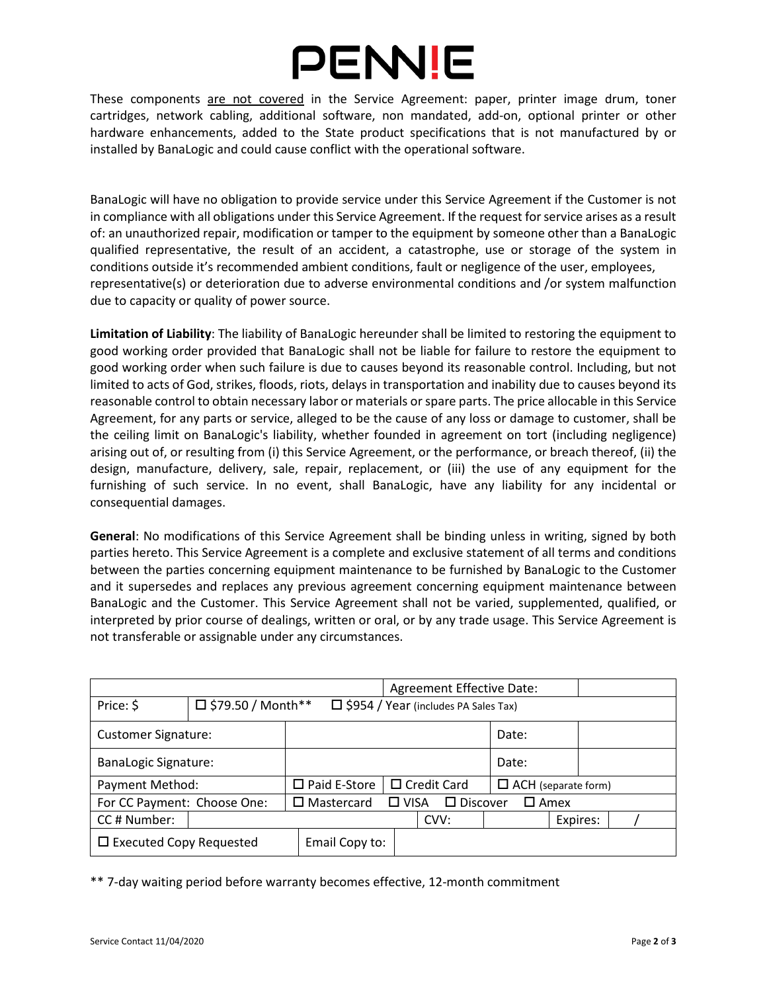# PENNIE

These components are not covered in the Service Agreement: paper, printer image drum, toner cartridges, network cabling, additional software, non mandated, add-on, optional printer or other hardware enhancements, added to the State product specifications that is not manufactured by or installed by BanaLogic and could cause conflict with the operational software.

BanaLogic will have no obligation to provide service under this Service Agreement if the Customer is not in compliance with all obligations under this Service Agreement. If the request for service arises as a result of: an unauthorized repair, modification or tamper to the equipment by someone other than a BanaLogic qualified representative, the result of an accident, a catastrophe, use or storage of the system in conditions outside it's recommended ambient conditions, fault or negligence of the user, employees, representative(s) or deterioration due to adverse environmental conditions and /or system malfunction due to capacity or quality of power source.

**Limitation of Liability**: The liability of BanaLogic hereunder shall be limited to restoring the equipment to good working order provided that BanaLogic shall not be liable for failure to restore the equipment to good working order when such failure is due to causes beyond its reasonable control. Including, but not limited to acts of God, strikes, floods, riots, delays in transportation and inability due to causes beyond its reasonable control to obtain necessary labor or materials or spare parts. The price allocable in this Service Agreement, for any parts or service, alleged to be the cause of any loss or damage to customer, shall be the ceiling limit on BanaLogic's liability, whether founded in agreement on tort (including negligence) arising out of, or resulting from (i) this Service Agreement, or the performance, or breach thereof, (ii) the design, manufacture, delivery, sale, repair, replacement, or (iii) the use of any equipment for the furnishing of such service. In no event, shall BanaLogic, have any liability for any incidental or consequential damages.

**General**: No modifications of this Service Agreement shall be binding unless in writing, signed by both parties hereto. This Service Agreement is a complete and exclusive statement of all terms and conditions between the parties concerning equipment maintenance to be furnished by BanaLogic to the Customer and it supersedes and replaces any previous agreement concerning equipment maintenance between BanaLogic and the Customer. This Service Agreement shall not be varied, supplemented, qualified, or interpreted by prior course of dealings, written or oral, or by any trade usage. This Service Agreement is not transferable or assignable under any circumstances.

|                                |                                                                         |  |                                                                        | Agreement Effective Date: |       |                            |       |  |          |  |  |
|--------------------------------|-------------------------------------------------------------------------|--|------------------------------------------------------------------------|---------------------------|-------|----------------------------|-------|--|----------|--|--|
| Price: \$                      | $\Box$ \$79.50 / Month**<br>$\Box$ \$954 / Year (includes PA Sales Tax) |  |                                                                        |                           |       |                            |       |  |          |  |  |
| <b>Customer Signature:</b>     |                                                                         |  |                                                                        |                           | Date: |                            |       |  |          |  |  |
| <b>BanaLogic Signature:</b>    |                                                                         |  |                                                                        |                           |       |                            | Date: |  |          |  |  |
| Payment Method:                |                                                                         |  | $\Box$ Paid E-Store                                                    | $\Box$ Credit Card        |       | $\Box$ ACH (separate form) |       |  |          |  |  |
| For CC Payment: Choose One:    |                                                                         |  | $\square$ Discover<br>□ VISA<br>$\square$ Mastercard<br>$\square$ Amex |                           |       |                            |       |  |          |  |  |
| CC# Number:                    |                                                                         |  |                                                                        |                           | CVV:  |                            |       |  | Expires: |  |  |
| $\Box$ Executed Copy Requested |                                                                         |  | Email Copy to:                                                         |                           |       |                            |       |  |          |  |  |

\*\* 7-day waiting period before warranty becomes effective, 12-month commitment